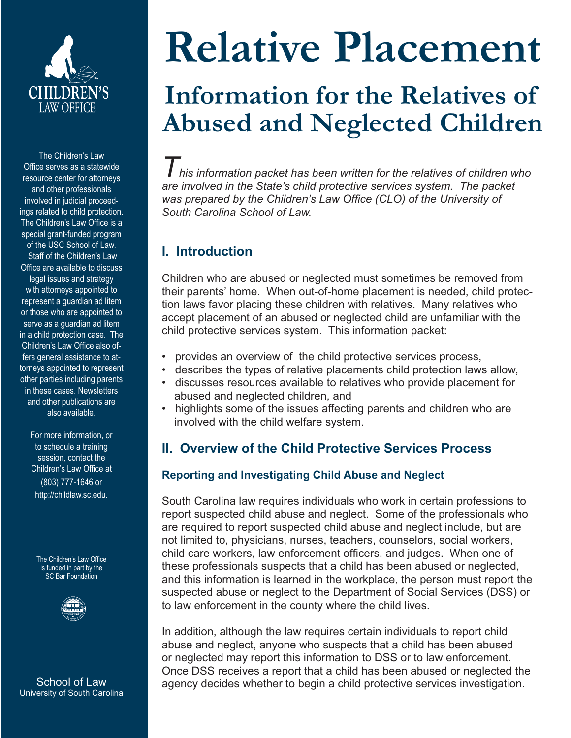

The Children's Law Office serves as a statewide resource center for attorneys and other professionals involved in judicial proceedings related to child protection. The Children's Law Office is a special grant-funded program of the USC School of Law. Staff of the Children's Law Office are available to discuss legal issues and strategy with attorneys appointed to represent a guardian ad litem or those who are appointed to serve as a guardian ad litem in a child protection case. The Children's Law Office also offers general assistance to attorneys appointed to represent other parties including parents in these cases. Newsletters and other publications are also available.

> For more information, or to schedule a training session, contact the Children's Law Office at (803) 777-1646 or http://childlaw.sc.edu.

The Children's Law Office is funded in part by the SC Bar Foundation



**School of Law** University of South Carolina

# **Relative Placement**

# **Information for the Relatives of Abused and Neglected Children**

*This information packet has been written for the relatives of children who are involved in the State's child protective services system. The packet*  was prepared by the Children's Law Office (CLO) of the University of *South Carolina School of Law.* 

# **I. Introduction**

Children who are abused or neglected must sometimes be removed from their parents' home. When out-of-home placement is needed, child protection laws favor placing these children with relatives. Many relatives who accept placement of an abused or neglected child are unfamiliar with the child protective services system. This information packet:

- provides an overview of the child protective services process,
- describes the types of relative placements child protection laws allow,
- discusses resources available to relatives who provide placement for abused and neglected children, and
- highlights some of the issues affecting parents and children who are involved with the child welfare system.

# **II. Overview of the Child Protective Services Process**

### **Reporting and Investigating Child Abuse and Neglect**

South Carolina law requires individuals who work in certain professions to report suspected child abuse and neglect. Some of the professionals who are required to report suspected child abuse and neglect include, but are not limited to, physicians, nurses, teachers, counselors, social workers, child care workers, law enforcement officers, and judges. When one of these professionals suspects that a child has been abused or neglected, and this information is learned in the workplace, the person must report the suspected abuse or neglect to the Department of Social Services (DSS) or to law enforcement in the county where the child lives.

In addition, although the law requires certain individuals to report child abuse and neglect, anyone who suspects that a child has been abused or neglected may report this information to DSS or to law enforcement. Once DSS receives a report that a child has been abused or neglected the agency decides whether to begin a child protective services investigation.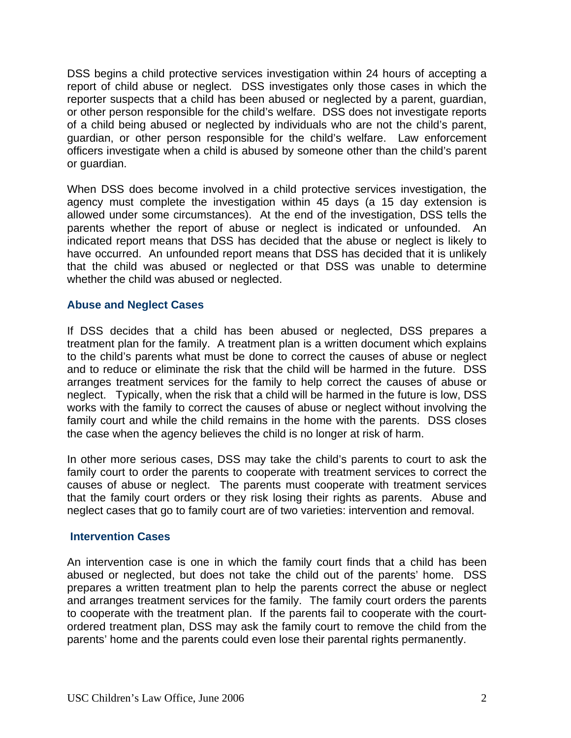DSS begins a child protective services investigation within 24 hours of accepting a report of child abuse or neglect. DSS investigates only those cases in which the reporter suspects that a child has been abused or neglected by a parent, guardian, or other person responsible for the child's welfare. DSS does not investigate reports of a child being abused or neglected by individuals who are not the child's parent, guardian, or other person responsible for the child's welfare. Law enforcement officers investigate when a child is abused by someone other than the child's parent or guardian.

When DSS does become involved in a child protective services investigation, the agency must complete the investigation within 45 days (a 15 day extension is allowed under some circumstances). At the end of the investigation, DSS tells the parents whether the report of abuse or neglect is indicated or unfounded. An indicated report means that DSS has decided that the abuse or neglect is likely to have occurred. An unfounded report means that DSS has decided that it is unlikely that the child was abused or neglected or that DSS was unable to determine whether the child was abused or neglected.

#### **Abuse and Neglect Cases**

If DSS decides that a child has been abused or neglected, DSS prepares a treatment plan for the family. A treatment plan is a written document which explains to the child's parents what must be done to correct the causes of abuse or neglect and to reduce or eliminate the risk that the child will be harmed in the future. DSS arranges treatment services for the family to help correct the causes of abuse or neglect. Typically, when the risk that a child will be harmed in the future is low, DSS works with the family to correct the causes of abuse or neglect without involving the family court and while the child remains in the home with the parents. DSS closes the case when the agency believes the child is no longer at risk of harm.

In other more serious cases, DSS may take the child's parents to court to ask the family court to order the parents to cooperate with treatment services to correct the causes of abuse or neglect. The parents must cooperate with treatment services that the family court orders or they risk losing their rights as parents. Abuse and neglect cases that go to family court are of two varieties: intervention and removal.

#### **Intervention Cases**

An intervention case is one in which the family court finds that a child has been abused or neglected, but does not take the child out of the parents' home. DSS prepares a written treatment plan to help the parents correct the abuse or neglect and arranges treatment services for the family. The family court orders the parents to cooperate with the treatment plan. If the parents fail to cooperate with the courtordered treatment plan, DSS may ask the family court to remove the child from the parents' home and the parents could even lose their parental rights permanently.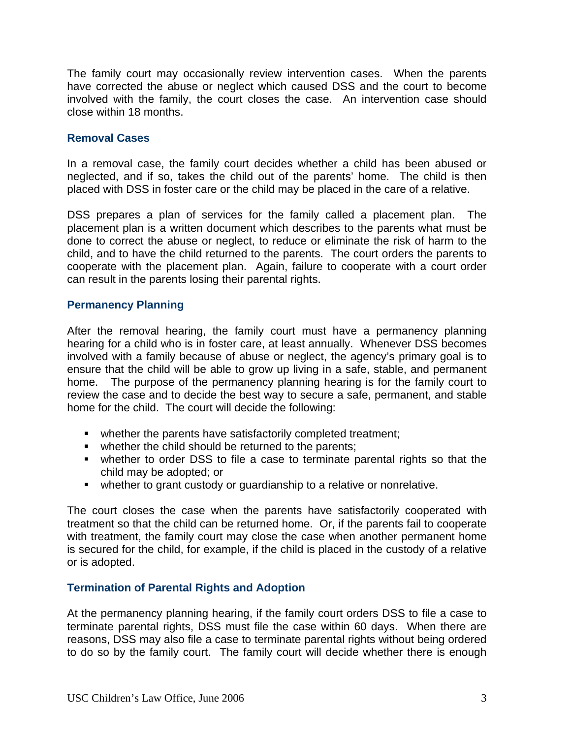The family court may occasionally review intervention cases. When the parents have corrected the abuse or neglect which caused DSS and the court to become involved with the family, the court closes the case. An intervention case should close within 18 months.

#### **Removal Cases**

In a removal case, the family court decides whether a child has been abused or neglected, and if so, takes the child out of the parents' home. The child is then placed with DSS in foster care or the child may be placed in the care of a relative.

DSS prepares a plan of services for the family called a placement plan. The placement plan is a written document which describes to the parents what must be done to correct the abuse or neglect, to reduce or eliminate the risk of harm to the child, and to have the child returned to the parents. The court orders the parents to cooperate with the placement plan. Again, failure to cooperate with a court order can result in the parents losing their parental rights.

#### **Permanency Planning**

After the removal hearing, the family court must have a permanency planning hearing for a child who is in foster care, at least annually. Whenever DSS becomes involved with a family because of abuse or neglect, the agency's primary goal is to ensure that the child will be able to grow up living in a safe, stable, and permanent home. The purpose of the permanency planning hearing is for the family court to review the case and to decide the best way to secure a safe, permanent, and stable home for the child. The court will decide the following:

- **•** whether the parents have satisfactorily completed treatment;
- whether the child should be returned to the parents;
- whether to order DSS to file a case to terminate parental rights so that the child may be adopted; or
- whether to grant custody or guardianship to a relative or nonrelative.

The court closes the case when the parents have satisfactorily cooperated with treatment so that the child can be returned home. Or, if the parents fail to cooperate with treatment, the family court may close the case when another permanent home is secured for the child, for example, if the child is placed in the custody of a relative or is adopted.

#### **Termination of Parental Rights and Adoption**

At the permanency planning hearing, if the family court orders DSS to file a case to terminate parental rights, DSS must file the case within 60 days. When there are reasons, DSS may also file a case to terminate parental rights without being ordered to do so by the family court. The family court will decide whether there is enough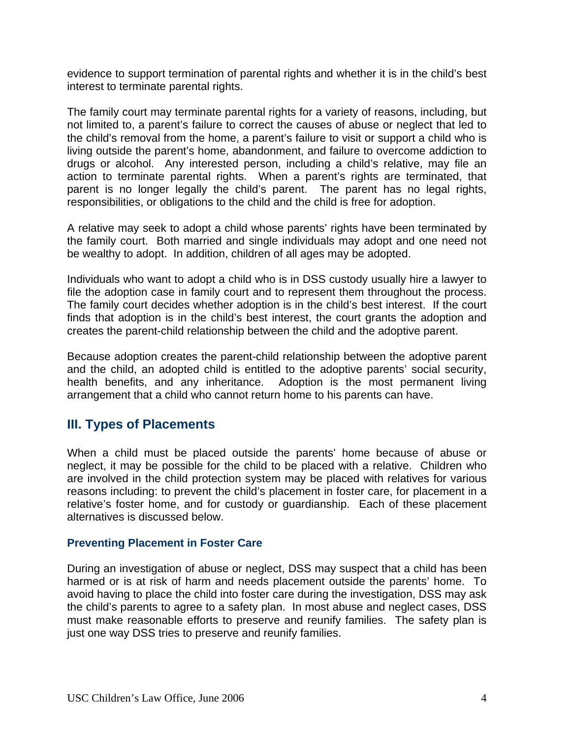evidence to support termination of parental rights and whether it is in the child's best interest to terminate parental rights.

The family court may terminate parental rights for a variety of reasons, including, but not limited to, a parent's failure to correct the causes of abuse or neglect that led to the child's removal from the home, a parent's failure to visit or support a child who is living outside the parent's home, abandonment, and failure to overcome addiction to drugs or alcohol. Any interested person, including a child's relative, may file an action to terminate parental rights. When a parent's rights are terminated, that parent is no longer legally the child's parent. The parent has no legal rights, responsibilities, or obligations to the child and the child is free for adoption.

A relative may seek to adopt a child whose parents' rights have been terminated by the family court. Both married and single individuals may adopt and one need not be wealthy to adopt. In addition, children of all ages may be adopted.

Individuals who want to adopt a child who is in DSS custody usually hire a lawyer to file the adoption case in family court and to represent them throughout the process. The family court decides whether adoption is in the child's best interest. If the court finds that adoption is in the child's best interest, the court grants the adoption and creates the parent-child relationship between the child and the adoptive parent.

Because adoption creates the parent-child relationship between the adoptive parent and the child, an adopted child is entitled to the adoptive parents' social security, health benefits, and any inheritance. Adoption is the most permanent living arrangement that a child who cannot return home to his parents can have.

# **III. Types of Placements**

When a child must be placed outside the parents' home because of abuse or neglect, it may be possible for the child to be placed with a relative. Children who are involved in the child protection system may be placed with relatives for various reasons including: to prevent the child's placement in foster care, for placement in a relative's foster home, and for custody or guardianship. Each of these placement alternatives is discussed below.

#### **Preventing Placement in Foster Care**

During an investigation of abuse or neglect, DSS may suspect that a child has been harmed or is at risk of harm and needs placement outside the parents' home. To avoid having to place the child into foster care during the investigation, DSS may ask the child's parents to agree to a safety plan. In most abuse and neglect cases, DSS must make reasonable efforts to preserve and reunify families. The safety plan is just one way DSS tries to preserve and reunify families.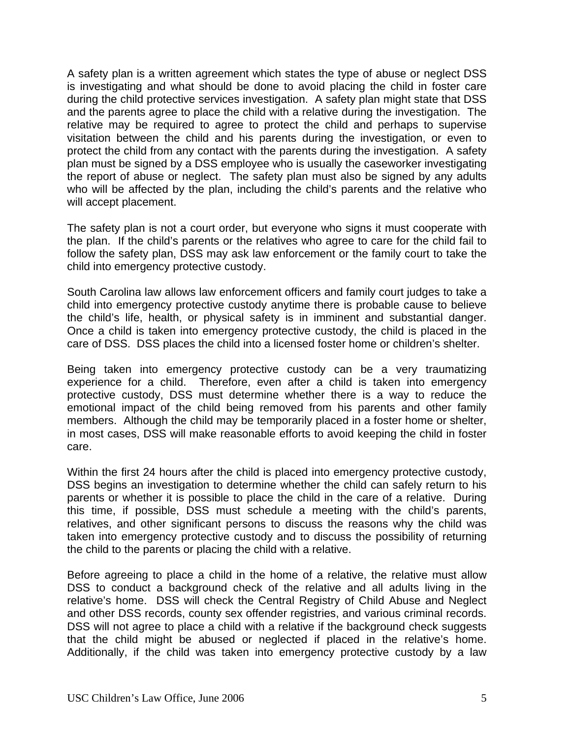A safety plan is a written agreement which states the type of abuse or neglect DSS is investigating and what should be done to avoid placing the child in foster care during the child protective services investigation. A safety plan might state that DSS and the parents agree to place the child with a relative during the investigation. The relative may be required to agree to protect the child and perhaps to supervise visitation between the child and his parents during the investigation, or even to protect the child from any contact with the parents during the investigation. A safety plan must be signed by a DSS employee who is usually the caseworker investigating the report of abuse or neglect. The safety plan must also be signed by any adults who will be affected by the plan, including the child's parents and the relative who will accept placement.

The safety plan is not a court order, but everyone who signs it must cooperate with the plan. If the child's parents or the relatives who agree to care for the child fail to follow the safety plan, DSS may ask law enforcement or the family court to take the child into emergency protective custody.

South Carolina law allows law enforcement officers and family court judges to take a child into emergency protective custody anytime there is probable cause to believe the child's life, health, or physical safety is in imminent and substantial danger. Once a child is taken into emergency protective custody, the child is placed in the care of DSS. DSS places the child into a licensed foster home or children's shelter.

Being taken into emergency protective custody can be a very traumatizing experience for a child. Therefore, even after a child is taken into emergency protective custody, DSS must determine whether there is a way to reduce the emotional impact of the child being removed from his parents and other family members. Although the child may be temporarily placed in a foster home or shelter, in most cases, DSS will make reasonable efforts to avoid keeping the child in foster care.

Within the first 24 hours after the child is placed into emergency protective custody, DSS begins an investigation to determine whether the child can safely return to his parents or whether it is possible to place the child in the care of a relative. During this time, if possible, DSS must schedule a meeting with the child's parents, relatives, and other significant persons to discuss the reasons why the child was taken into emergency protective custody and to discuss the possibility of returning the child to the parents or placing the child with a relative.

Before agreeing to place a child in the home of a relative, the relative must allow DSS to conduct a background check of the relative and all adults living in the relative's home. DSS will check the Central Registry of Child Abuse and Neglect and other DSS records, county sex offender registries, and various criminal records. DSS will not agree to place a child with a relative if the background check suggests that the child might be abused or neglected if placed in the relative's home. Additionally, if the child was taken into emergency protective custody by a law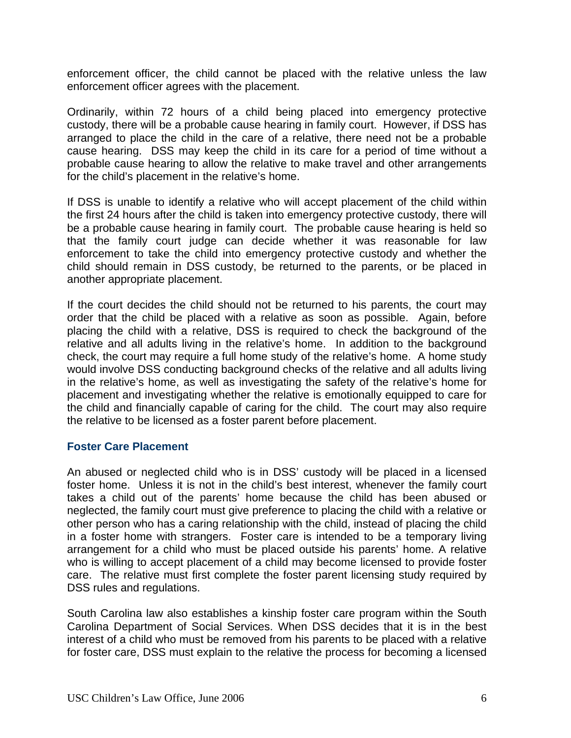enforcement officer, the child cannot be placed with the relative unless the law enforcement officer agrees with the placement.

Ordinarily, within 72 hours of a child being placed into emergency protective custody, there will be a probable cause hearing in family court. However, if DSS has arranged to place the child in the care of a relative, there need not be a probable cause hearing. DSS may keep the child in its care for a period of time without a probable cause hearing to allow the relative to make travel and other arrangements for the child's placement in the relative's home.

If DSS is unable to identify a relative who will accept placement of the child within the first 24 hours after the child is taken into emergency protective custody, there will be a probable cause hearing in family court. The probable cause hearing is held so that the family court judge can decide whether it was reasonable for law enforcement to take the child into emergency protective custody and whether the child should remain in DSS custody, be returned to the parents, or be placed in another appropriate placement.

If the court decides the child should not be returned to his parents, the court may order that the child be placed with a relative as soon as possible. Again, before placing the child with a relative, DSS is required to check the background of the relative and all adults living in the relative's home. In addition to the background check, the court may require a full home study of the relative's home. A home study would involve DSS conducting background checks of the relative and all adults living in the relative's home, as well as investigating the safety of the relative's home for placement and investigating whether the relative is emotionally equipped to care for the child and financially capable of caring for the child. The court may also require the relative to be licensed as a foster parent before placement.

#### **Foster Care Placement**

An abused or neglected child who is in DSS' custody will be placed in a licensed foster home. Unless it is not in the child's best interest, whenever the family court takes a child out of the parents' home because the child has been abused or neglected, the family court must give preference to placing the child with a relative or other person who has a caring relationship with the child, instead of placing the child in a foster home with strangers. Foster care is intended to be a temporary living arrangement for a child who must be placed outside his parents' home. A relative who is willing to accept placement of a child may become licensed to provide foster care. The relative must first complete the foster parent licensing study required by DSS rules and regulations.

South Carolina law also establishes a kinship foster care program within the South Carolina Department of Social Services. When DSS decides that it is in the best interest of a child who must be removed from his parents to be placed with a relative for foster care, DSS must explain to the relative the process for becoming a licensed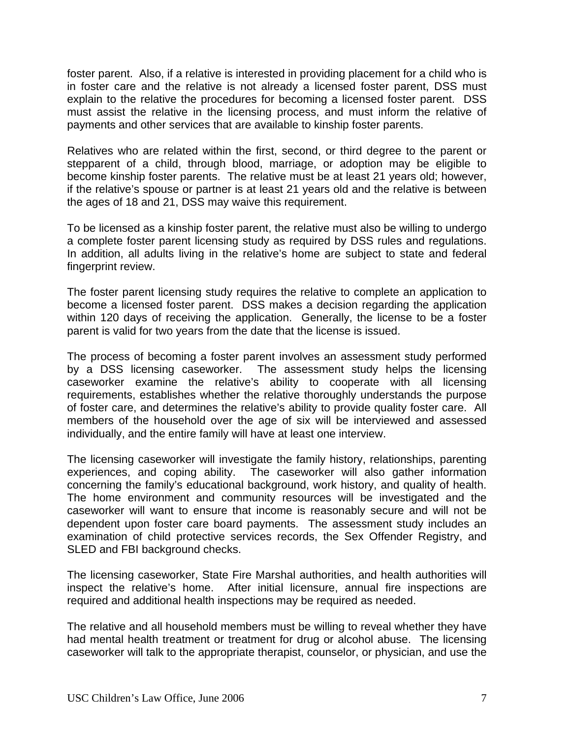foster parent. Also, if a relative is interested in providing placement for a child who is in foster care and the relative is not already a licensed foster parent, DSS must explain to the relative the procedures for becoming a licensed foster parent. DSS must assist the relative in the licensing process, and must inform the relative of payments and other services that are available to kinship foster parents.

Relatives who are related within the first, second, or third degree to the parent or stepparent of a child, through blood, marriage, or adoption may be eligible to become kinship foster parents. The relative must be at least 21 years old; however, if the relative's spouse or partner is at least 21 years old and the relative is between the ages of 18 and 21, DSS may waive this requirement.

To be licensed as a kinship foster parent, the relative must also be willing to undergo a complete foster parent licensing study as required by DSS rules and regulations. In addition, all adults living in the relative's home are subject to state and federal fingerprint review.

The foster parent licensing study requires the relative to complete an application to become a licensed foster parent. DSS makes a decision regarding the application within 120 days of receiving the application. Generally, the license to be a foster parent is valid for two years from the date that the license is issued.

The process of becoming a foster parent involves an assessment study performed by a DSS licensing caseworker. The assessment study helps the licensing caseworker examine the relative's ability to cooperate with all licensing requirements, establishes whether the relative thoroughly understands the purpose of foster care, and determines the relative's ability to provide quality foster care. All members of the household over the age of six will be interviewed and assessed individually, and the entire family will have at least one interview.

The licensing caseworker will investigate the family history, relationships, parenting experiences, and coping ability. The caseworker will also gather information concerning the family's educational background, work history, and quality of health. The home environment and community resources will be investigated and the caseworker will want to ensure that income is reasonably secure and will not be dependent upon foster care board payments. The assessment study includes an examination of child protective services records, the Sex Offender Registry, and SLED and FBI background checks.

The licensing caseworker, State Fire Marshal authorities, and health authorities will inspect the relative's home. After initial licensure, annual fire inspections are required and additional health inspections may be required as needed.

The relative and all household members must be willing to reveal whether they have had mental health treatment or treatment for drug or alcohol abuse. The licensing caseworker will talk to the appropriate therapist, counselor, or physician, and use the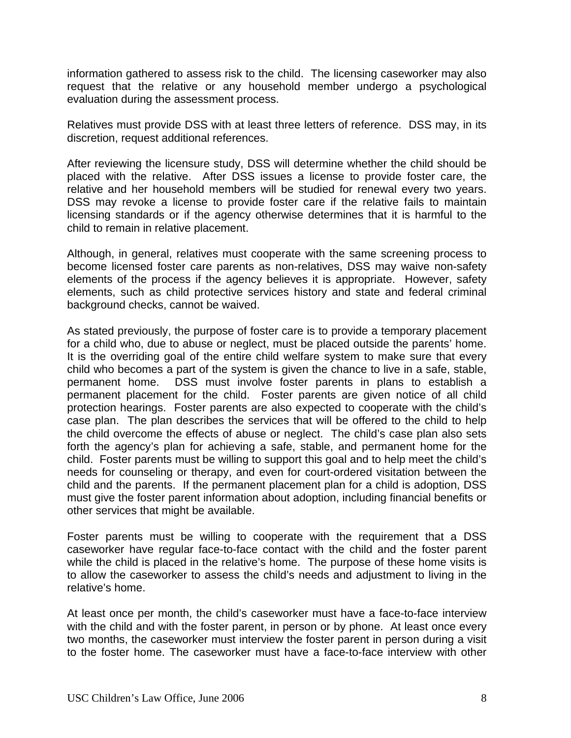information gathered to assess risk to the child. The licensing caseworker may also request that the relative or any household member undergo a psychological evaluation during the assessment process.

Relatives must provide DSS with at least three letters of reference. DSS may, in its discretion, request additional references.

After reviewing the licensure study, DSS will determine whether the child should be placed with the relative. After DSS issues a license to provide foster care, the relative and her household members will be studied for renewal every two years. DSS may revoke a license to provide foster care if the relative fails to maintain licensing standards or if the agency otherwise determines that it is harmful to the child to remain in relative placement.

Although, in general, relatives must cooperate with the same screening process to become licensed foster care parents as non-relatives, DSS may waive non-safety elements of the process if the agency believes it is appropriate. However, safety elements, such as child protective services history and state and federal criminal background checks, cannot be waived.

As stated previously, the purpose of foster care is to provide a temporary placement for a child who, due to abuse or neglect, must be placed outside the parents' home. It is the overriding goal of the entire child welfare system to make sure that every child who becomes a part of the system is given the chance to live in a safe, stable, permanent home. DSS must involve foster parents in plans to establish a permanent placement for the child. Foster parents are given notice of all child protection hearings. Foster parents are also expected to cooperate with the child's case plan. The plan describes the services that will be offered to the child to help the child overcome the effects of abuse or neglect. The child's case plan also sets forth the agency's plan for achieving a safe, stable, and permanent home for the child. Foster parents must be willing to support this goal and to help meet the child's needs for counseling or therapy, and even for court-ordered visitation between the child and the parents. If the permanent placement plan for a child is adoption, DSS must give the foster parent information about adoption, including financial benefits or other services that might be available.

Foster parents must be willing to cooperate with the requirement that a DSS caseworker have regular face-to-face contact with the child and the foster parent while the child is placed in the relative's home. The purpose of these home visits is to allow the caseworker to assess the child's needs and adjustment to living in the relative's home.

At least once per month, the child's caseworker must have a face-to-face interview with the child and with the foster parent, in person or by phone. At least once every two months, the caseworker must interview the foster parent in person during a visit to the foster home. The caseworker must have a face-to-face interview with other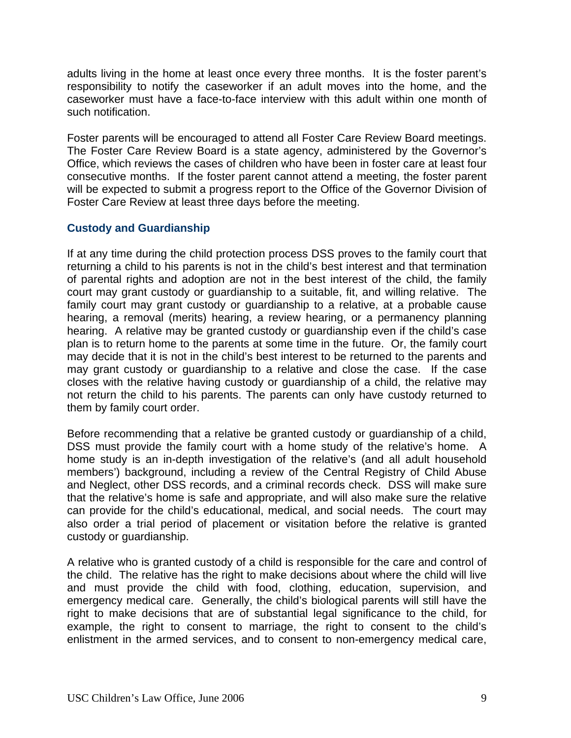adults living in the home at least once every three months. It is the foster parent's responsibility to notify the caseworker if an adult moves into the home, and the caseworker must have a face-to-face interview with this adult within one month of such notification.

Foster parents will be encouraged to attend all Foster Care Review Board meetings. The Foster Care Review Board is a state agency, administered by the Governor's Office, which reviews the cases of children who have been in foster care at least four consecutive months. If the foster parent cannot attend a meeting, the foster parent will be expected to submit a progress report to the Office of the Governor Division of Foster Care Review at least three days before the meeting.

#### **Custody and Guardianship**

If at any time during the child protection process DSS proves to the family court that returning a child to his parents is not in the child's best interest and that termination of parental rights and adoption are not in the best interest of the child, the family court may grant custody or guardianship to a suitable, fit, and willing relative. The family court may grant custody or guardianship to a relative, at a probable cause hearing, a removal (merits) hearing, a review hearing, or a permanency planning hearing. A relative may be granted custody or guardianship even if the child's case plan is to return home to the parents at some time in the future. Or, the family court may decide that it is not in the child's best interest to be returned to the parents and may grant custody or guardianship to a relative and close the case. If the case closes with the relative having custody or guardianship of a child, the relative may not return the child to his parents. The parents can only have custody returned to them by family court order.

Before recommending that a relative be granted custody or guardianship of a child, DSS must provide the family court with a home study of the relative's home. A home study is an in-depth investigation of the relative's (and all adult household members') background, including a review of the Central Registry of Child Abuse and Neglect, other DSS records, and a criminal records check. DSS will make sure that the relative's home is safe and appropriate, and will also make sure the relative can provide for the child's educational, medical, and social needs. The court may also order a trial period of placement or visitation before the relative is granted custody or guardianship.

A relative who is granted custody of a child is responsible for the care and control of the child. The relative has the right to make decisions about where the child will live and must provide the child with food, clothing, education, supervision, and emergency medical care. Generally, the child's biological parents will still have the right to make decisions that are of substantial legal significance to the child, for example, the right to consent to marriage, the right to consent to the child's enlistment in the armed services, and to consent to non-emergency medical care,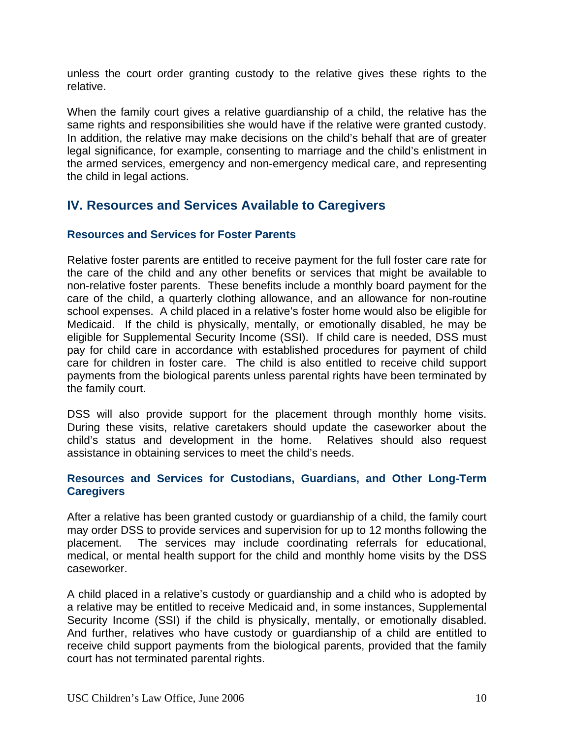unless the court order granting custody to the relative gives these rights to the relative.

When the family court gives a relative guardianship of a child, the relative has the same rights and responsibilities she would have if the relative were granted custody. In addition, the relative may make decisions on the child's behalf that are of greater legal significance, for example, consenting to marriage and the child's enlistment in the armed services, emergency and non-emergency medical care, and representing the child in legal actions.

## **IV. Resources and Services Available to Caregivers**

#### **Resources and Services for Foster Parents**

Relative foster parents are entitled to receive payment for the full foster care rate for the care of the child and any other benefits or services that might be available to non-relative foster parents. These benefits include a monthly board payment for the care of the child, a quarterly clothing allowance, and an allowance for non-routine school expenses. A child placed in a relative's foster home would also be eligible for Medicaid. If the child is physically, mentally, or emotionally disabled, he may be eligible for Supplemental Security Income (SSI). If child care is needed, DSS must pay for child care in accordance with established procedures for payment of child care for children in foster care. The child is also entitled to receive child support payments from the biological parents unless parental rights have been terminated by the family court.

DSS will also provide support for the placement through monthly home visits. During these visits, relative caretakers should update the caseworker about the child's status and development in the home. Relatives should also request assistance in obtaining services to meet the child's needs.

#### **Resources and Services for Custodians, Guardians, and Other Long-Term Caregivers**

After a relative has been granted custody or guardianship of a child, the family court may order DSS to provide services and supervision for up to 12 months following the placement. The services may include coordinating referrals for educational, medical, or mental health support for the child and monthly home visits by the DSS caseworker.

A child placed in a relative's custody or guardianship and a child who is adopted by a relative may be entitled to receive Medicaid and, in some instances, Supplemental Security Income (SSI) if the child is physically, mentally, or emotionally disabled. And further, relatives who have custody or guardianship of a child are entitled to receive child support payments from the biological parents, provided that the family court has not terminated parental rights.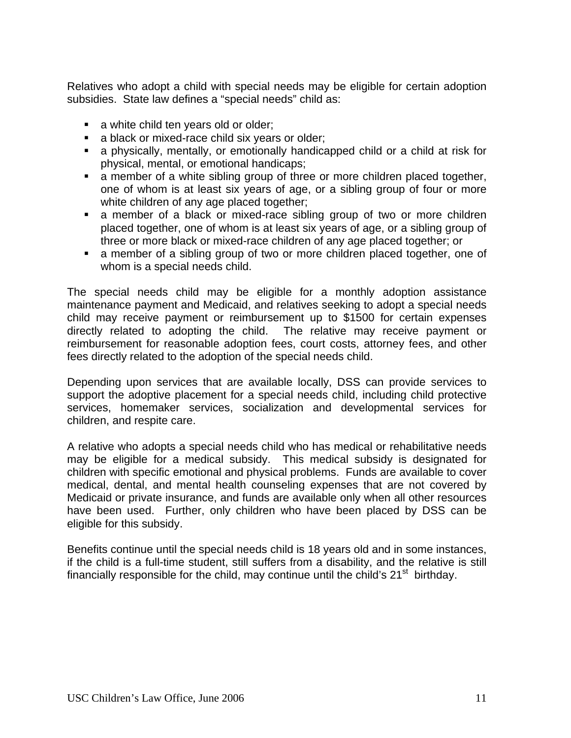Relatives who adopt a child with special needs may be eligible for certain adoption subsidies. State law defines a "special needs" child as:

- a white child ten years old or older;
- **a** black or mixed-race child six years or older;
- a physically, mentally, or emotionally handicapped child or a child at risk for physical, mental, or emotional handicaps;
- a member of a white sibling group of three or more children placed together, one of whom is at least six years of age, or a sibling group of four or more white children of any age placed together;
- a member of a black or mixed-race sibling group of two or more children placed together, one of whom is at least six years of age, or a sibling group of three or more black or mixed-race children of any age placed together; or
- a member of a sibling group of two or more children placed together, one of whom is a special needs child.

The special needs child may be eligible for a monthly adoption assistance maintenance payment and Medicaid, and relatives seeking to adopt a special needs child may receive payment or reimbursement up to \$1500 for certain expenses directly related to adopting the child. The relative may receive payment or reimbursement for reasonable adoption fees, court costs, attorney fees, and other fees directly related to the adoption of the special needs child.

Depending upon services that are available locally, DSS can provide services to support the adoptive placement for a special needs child, including child protective services, homemaker services, socialization and developmental services for children, and respite care.

A relative who adopts a special needs child who has medical or rehabilitative needs may be eligible for a medical subsidy. This medical subsidy is designated for children with specific emotional and physical problems. Funds are available to cover medical, dental, and mental health counseling expenses that are not covered by Medicaid or private insurance, and funds are available only when all other resources have been used. Further, only children who have been placed by DSS can be eligible for this subsidy.

Benefits continue until the special needs child is 18 years old and in some instances, if the child is a full-time student, still suffers from a disability, and the relative is still financially responsible for the child, may continue until the child's  $21<sup>st</sup>$  birthday.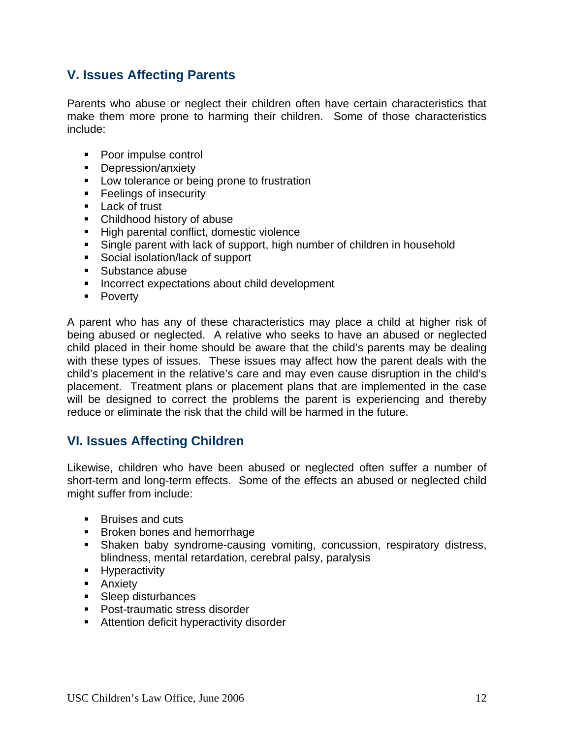# **V. Issues Affecting Parents**

Parents who abuse or neglect their children often have certain characteristics that make them more prone to harming their children. Some of those characteristics include:

- Poor impulse control
- **Depression/anxiety**
- **Low tolerance or being prone to frustration**
- **Feelings of insecurity**
- **Lack of trust**
- Childhood history of abuse
- High parental conflict, domestic violence
- Single parent with lack of support, high number of children in household
- Social isolation/lack of support
- **Substance abuse**
- **Incorrect expectations about child development**
- **Poverty**

A parent who has any of these characteristics may place a child at higher risk of being abused or neglected. A relative who seeks to have an abused or neglected child placed in their home should be aware that the child's parents may be dealing with these types of issues. These issues may affect how the parent deals with the child's placement in the relative's care and may even cause disruption in the child's placement. Treatment plans or placement plans that are implemented in the case will be designed to correct the problems the parent is experiencing and thereby reduce or eliminate the risk that the child will be harmed in the future.

# **VI. Issues Affecting Children**

Likewise, children who have been abused or neglected often suffer a number of short-term and long-term effects. Some of the effects an abused or neglected child might suffer from include:

- Bruises and cuts
- **Broken bones and hemorrhage**
- Shaken baby syndrome-causing vomiting, concussion, respiratory distress, blindness, mental retardation, cerebral palsy, paralysis
- **Hyperactivity**
- **Anxiety**
- **Sleep disturbances**
- Post-traumatic stress disorder
- **Attention deficit hyperactivity disorder**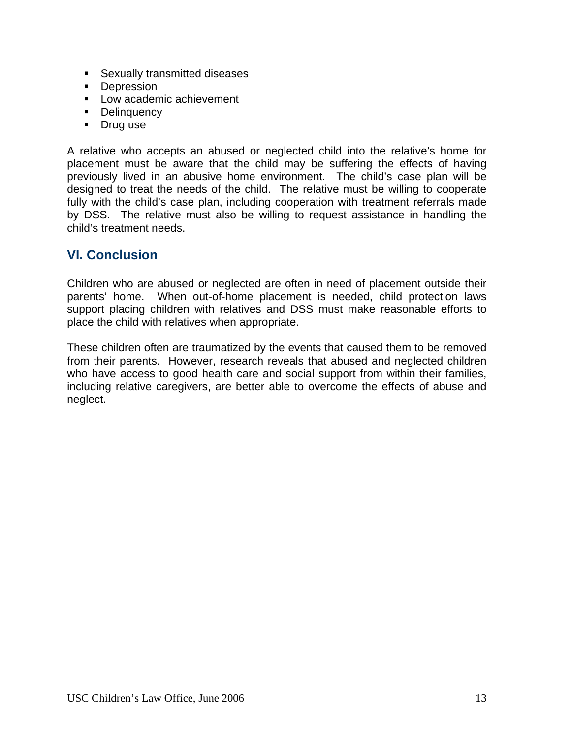- **Sexually transmitted diseases**
- **Depression**
- **Low academic achievement**
- **Delinquency**
- Drug use

A relative who accepts an abused or neglected child into the relative's home for placement must be aware that the child may be suffering the effects of having previously lived in an abusive home environment. The child's case plan will be designed to treat the needs of the child. The relative must be willing to cooperate fully with the child's case plan, including cooperation with treatment referrals made by DSS. The relative must also be willing to request assistance in handling the child's treatment needs.

# **VI. Conclusion**

Children who are abused or neglected are often in need of placement outside their parents' home. When out-of-home placement is needed, child protection laws support placing children with relatives and DSS must make reasonable efforts to place the child with relatives when appropriate.

These children often are traumatized by the events that caused them to be removed from their parents. However, research reveals that abused and neglected children who have access to good health care and social support from within their families, including relative caregivers, are better able to overcome the effects of abuse and neglect.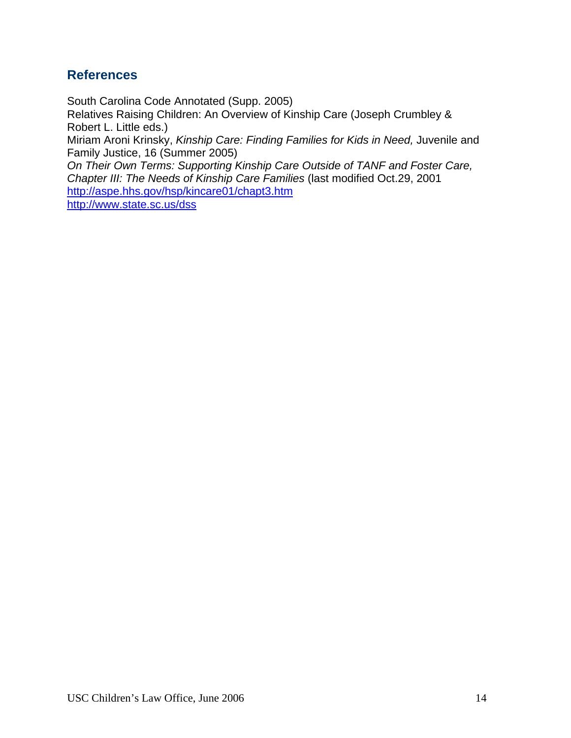# **References**

South Carolina Code Annotated (Supp. 2005) Relatives Raising Children: An Overview of Kinship Care (Joseph Crumbley & Robert L. Little eds.) Miriam Aroni Krinsky, *Kinship Care: Finding Families for Kids in Need,* Juvenile and Family Justice, 16 (Summer 2005) *On Their Own Terms: Supporting Kinship Care Outside of TANF and Foster Care,* 

*Chapter III: The Needs of Kinship Care Families* (last modified Oct.29, 2001 http://aspe.hhs.gov/hsp/kincare01/chapt3.htm

http://www.state.sc.us/dss